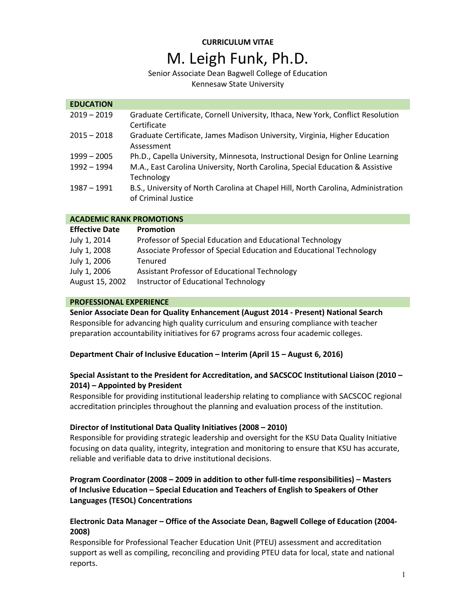# **CURRICULUM VITAE** M. Leigh Funk, Ph.D.

## Senior Associate Dean Bagwell College of Education

Kennesaw State University

## **EDUCATION**

| $2019 - 2019$ | Graduate Certificate, Cornell University, Ithaca, New York, Conflict Resolution<br>Certificate           |
|---------------|----------------------------------------------------------------------------------------------------------|
| $2015 - 2018$ | Graduate Certificate, James Madison University, Virginia, Higher Education<br>Assessment                 |
| $1999 - 2005$ | Ph.D., Capella University, Minnesota, Instructional Design for Online Learning                           |
| $1992 - 1994$ | M.A., East Carolina University, North Carolina, Special Education & Assistive<br>Technology              |
| 1987 - 1991   | B.S., University of North Carolina at Chapel Hill, North Carolina, Administration<br>of Criminal Justice |

## **ACADEMIC RANK PROMOTIONS**

| <b>Effective Date</b> | <b>Promotion</b>                                                    |
|-----------------------|---------------------------------------------------------------------|
| July 1, 2014          | Professor of Special Education and Educational Technology           |
| July 1, 2008          | Associate Professor of Special Education and Educational Technology |
| July 1, 2006          | Tenured                                                             |
| July 1, 2006          | Assistant Professor of Educational Technology                       |
| August 15, 2002       | Instructor of Educational Technology                                |

## **PROFESSIONAL EXPERIENCE**

**Senior Associate Dean for Quality Enhancement (August 2014 - Present) National Search** Responsible for advancing high quality curriculum and ensuring compliance with teacher preparation accountability initiatives for 67 programs across four academic colleges.

## **Department Chair of Inclusive Education – Interim (April 15 – August 6, 2016)**

## **Special Assistant to the President for Accreditation, and SACSCOC Institutional Liaison (2010 – 2014) – Appointed by President**

Responsible for providing institutional leadership relating to compliance with SACSCOC regional accreditation principles throughout the planning and evaluation process of the institution.

## **Director of Institutional Data Quality Initiatives (2008 – 2010)**

Responsible for providing strategic leadership and oversight for the KSU Data Quality Initiative focusing on data quality, integrity, integration and monitoring to ensure that KSU has accurate, reliable and verifiable data to drive institutional decisions.

## **Program Coordinator (2008 – 2009 in addition to other full-time responsibilities) – Masters of Inclusive Education – Special Education and Teachers of English to Speakers of Other Languages (TESOL) Concentrations**

## **Electronic Data Manager – Office of the Associate Dean, Bagwell College of Education (2004- 2008)**

Responsible for Professional Teacher Education Unit (PTEU) assessment and accreditation support as well as compiling, reconciling and providing PTEU data for local, state and national reports.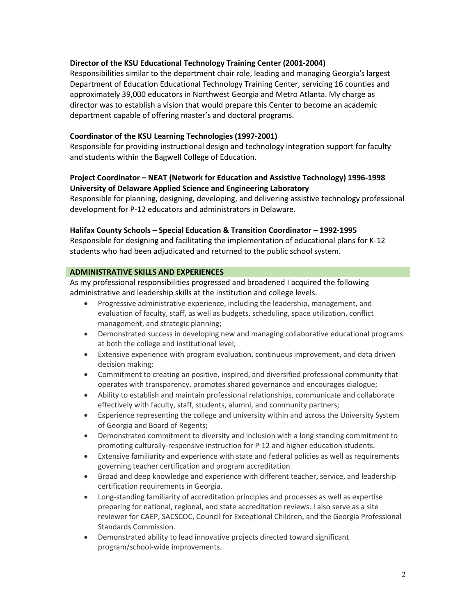## **Director of the KSU Educational Technology Training Center (2001-2004)**

Responsibilities similar to the department chair role, leading and managing Georgia's largest Department of Education Educational Technology Training Center, servicing 16 counties and approximately 39,000 educators in Northwest Georgia and Metro Atlanta. My charge as director was to establish a vision that would prepare this Center to become an academic department capable of offering master's and doctoral programs.

## **Coordinator of the KSU Learning Technologies (1997-2001)**

Responsible for providing instructional design and technology integration support for faculty and students within the Bagwell College of Education.

## **Project Coordinator – NEAT (Network for Education and Assistive Technology) 1996-1998 University of Delaware Applied Science and Engineering Laboratory**

Responsible for planning, designing, developing, and delivering assistive technology professional development for P-12 educators and administrators in Delaware.

## **Halifax County Schools – Special Education & Transition Coordinator – 1992-1995**

Responsible for designing and facilitating the implementation of educational plans for K-12 students who had been adjudicated and returned to the public school system.

## **ADMINISTRATIVE SKILLS AND EXPERIENCES**

As my professional responsibilities progressed and broadened I acquired the following administrative and leadership skills at the institution and college levels.

- Progressive administrative experience, including the leadership, management, and evaluation of faculty, staff, as well as budgets, scheduling, space utilization, conflict management, and strategic planning;
- Demonstrated success in developing new and managing collaborative educational programs at both the college and institutional level;
- Extensive experience with program evaluation, continuous improvement, and data driven decision making;
- Commitment to creating an positive, inspired, and diversified professional community that operates with transparency, promotes shared governance and encourages dialogue;
- Ability to establish and maintain professional relationships, communicate and collaborate effectively with faculty, staff, students, alumni, and community partners;
- Experience representing the college and university within and across the University System of Georgia and Board of Regents;
- Demonstrated commitment to diversity and inclusion with a long standing commitment to promoting culturally-responsive instruction for P-12 and higher education students.
- Extensive familiarity and experience with state and federal policies as well as requirements governing teacher certification and program accreditation.
- Broad and deep knowledge and experience with different teacher, service, and leadership certification requirements in Georgia.
- Long-standing familiarity of accreditation principles and processes as well as expertise preparing for national, regional, and state accreditation reviews. I also serve as a site reviewer for CAEP, SACSCOC, Council for Exceptional Children, and the Georgia Professional Standards Commission.
- Demonstrated ability to lead innovative projects directed toward significant program/school-wide improvements.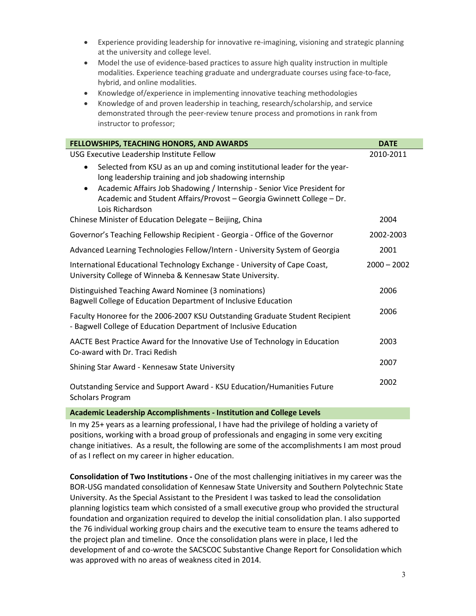- Experience providing leadership for innovative re-imagining, visioning and strategic planning at the university and college level.
- Model the use of evidence-based practices to assure high quality instruction in multiple modalities. Experience teaching graduate and undergraduate courses using face-to-face, hybrid, and online modalities.
- Knowledge of/experience in implementing innovative teaching methodologies
- Knowledge of and proven leadership in teaching, research/scholarship, and service demonstrated through the peer-review tenure process and promotions in rank from instructor to professor;

| FELLOWSHIPS, TEACHING HONORS, AND AWARDS                                                                                                                                                                                                                                                                                           | <b>DATE</b>   |
|------------------------------------------------------------------------------------------------------------------------------------------------------------------------------------------------------------------------------------------------------------------------------------------------------------------------------------|---------------|
| USG Executive Leadership Institute Fellow                                                                                                                                                                                                                                                                                          | 2010-2011     |
| Selected from KSU as an up and coming institutional leader for the year-<br>$\bullet$<br>long leadership training and job shadowing internship<br>Academic Affairs Job Shadowing / Internship - Senior Vice President for<br>$\bullet$<br>Academic and Student Affairs/Provost - Georgia Gwinnett College - Dr.<br>Lois Richardson |               |
| Chinese Minister of Education Delegate – Beijing, China                                                                                                                                                                                                                                                                            | 2004          |
| Governor's Teaching Fellowship Recipient - Georgia - Office of the Governor                                                                                                                                                                                                                                                        | 2002-2003     |
| Advanced Learning Technologies Fellow/Intern - University System of Georgia                                                                                                                                                                                                                                                        | 2001          |
| International Educational Technology Exchange - University of Cape Coast,<br>University College of Winneba & Kennesaw State University.                                                                                                                                                                                            | $2000 - 2002$ |
| Distinguished Teaching Award Nominee (3 nominations)<br>Bagwell College of Education Department of Inclusive Education                                                                                                                                                                                                             | 2006          |
| Faculty Honoree for the 2006-2007 KSU Outstanding Graduate Student Recipient<br>- Bagwell College of Education Department of Inclusive Education                                                                                                                                                                                   | 2006          |
| AACTE Best Practice Award for the Innovative Use of Technology in Education<br>Co-award with Dr. Traci Redish                                                                                                                                                                                                                      | 2003          |
| Shining Star Award - Kennesaw State University                                                                                                                                                                                                                                                                                     | 2007          |
| Outstanding Service and Support Award - KSU Education/Humanities Future<br><b>Scholars Program</b>                                                                                                                                                                                                                                 | 2002          |

#### **Academic Leadership Accomplishments - Institution and College Levels**

In my 25+ years as a learning professional, I have had the privilege of holding a variety of positions, working with a broad group of professionals and engaging in some very exciting change initiatives. As a result, the following are some of the accomplishments I am most proud of as I reflect on my career in higher education.

**Consolidation of Two Institutions -** One of the most challenging initiatives in my career was the BOR-USG mandated consolidation of Kennesaw State University and Southern Polytechnic State University. As the Special Assistant to the President I was tasked to lead the consolidation planning logistics team which consisted of a small executive group who provided the structural foundation and organization required to develop the initial consolidation plan. I also supported the 76 individual working group chairs and the executive team to ensure the teams adhered to the project plan and timeline. Once the consolidation plans were in place, I led the development of and co-wrote the SACSCOC Substantive Change Report for Consolidation which was approved with no areas of weakness cited in 2014.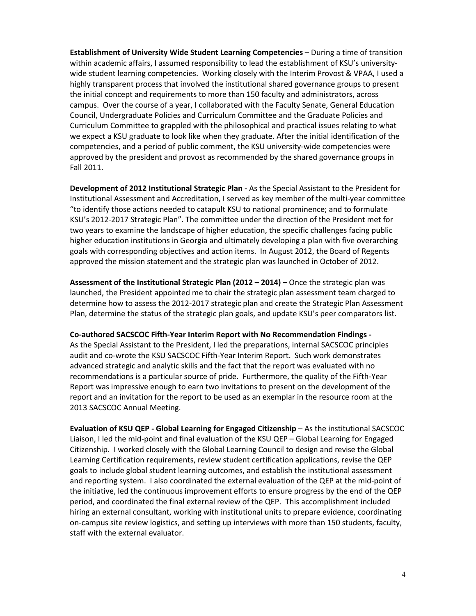**Establishment of University Wide Student Learning Competencies** – During a time of transition within academic affairs, I assumed responsibility to lead the establishment of KSU's universitywide student learning competencies. Working closely with the Interim Provost & VPAA, I used a highly transparent process that involved the institutional shared governance groups to present the initial concept and requirements to more than 150 faculty and administrators, across campus. Over the course of a year, I collaborated with the Faculty Senate, General Education Council, Undergraduate Policies and Curriculum Committee and the Graduate Policies and Curriculum Committee to grappled with the philosophical and practical issues relating to what we expect a KSU graduate to look like when they graduate. After the initial identification of the competencies, and a period of public comment, the KSU university-wide competencies were approved by the president and provost as recommended by the shared governance groups in Fall 2011.

**Development of 2012 Institutional Strategic Plan -** As the Special Assistant to the President for Institutional Assessment and Accreditation, I served as key member of the multi-year committee "to identify those actions needed to catapult KSU to national prominence; and to formulate KSU's 2012-2017 Strategic Plan". The committee under the direction of the President met for two years to examine the landscape of higher education, the specific challenges facing public higher education institutions in Georgia and ultimately developing a plan with five overarching goals with corresponding objectives and action items. In August 2012, the Board of Regents approved the mission statement and the strategic plan was launched in October of 2012.

**Assessment of the Institutional Strategic Plan (2012 – 2014) –** Once the strategic plan was launched, the President appointed me to chair the strategic plan assessment team charged to determine how to assess the 2012-2017 strategic plan and create the Strategic Plan Assessment Plan, determine the status of the strategic plan goals, and update KSU's peer comparators list.

**Co-authored SACSCOC Fifth-Year Interim Report with No Recommendation Findings -** As the Special Assistant to the President, I led the preparations, internal SACSCOC principles audit and co-wrote the KSU SACSCOC Fifth-Year Interim Report. Such work demonstrates advanced strategic and analytic skills and the fact that the report was evaluated with no recommendations is a particular source of pride. Furthermore, the quality of the Fifth-Year Report was impressive enough to earn two invitations to present on the development of the report and an invitation for the report to be used as an exemplar in the resource room at the 2013 SACSCOC Annual Meeting.

**Evaluation of KSU QEP - Global Learning for Engaged Citizenship** – As the institutional SACSCOC Liaison, I led the mid-point and final evaluation of the KSU QEP – Global Learning for Engaged Citizenship. I worked closely with the Global Learning Council to design and revise the Global Learning Certification requirements, review student certification applications, revise the QEP goals to include global student learning outcomes, and establish the institutional assessment and reporting system. I also coordinated the external evaluation of the QEP at the mid-point of the initiative, led the continuous improvement efforts to ensure progress by the end of the QEP period, and coordinated the final external review of the QEP. This accomplishment included hiring an external consultant, working with institutional units to prepare evidence, coordinating on-campus site review logistics, and setting up interviews with more than 150 students, faculty, staff with the external evaluator.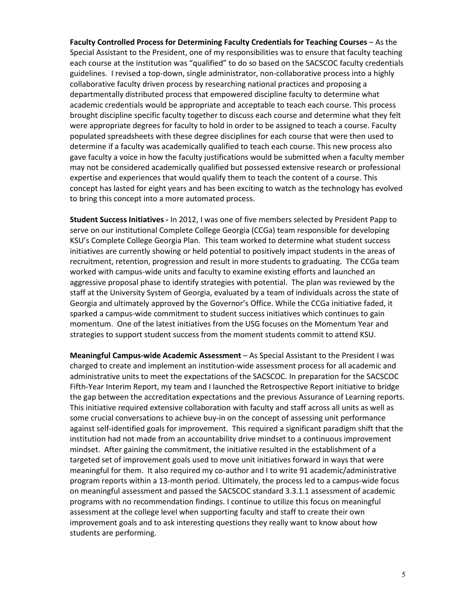Faculty Controlled Process for Determining Faculty Credentials for Teaching Courses - As the Special Assistant to the President, one of my responsibilities was to ensure that faculty teaching each course at the institution was "qualified" to do so based on the SACSCOC faculty credentials guidelines. I revised a top-down, single administrator, non-collaborative process into a highly collaborative faculty driven process by researching national practices and proposing a departmentally distributed process that empowered discipline faculty to determine what academic credentials would be appropriate and acceptable to teach each course. This process brought discipline specific faculty together to discuss each course and determine what they felt were appropriate degrees for faculty to hold in order to be assigned to teach a course. Faculty populated spreadsheets with these degree disciplines for each course that were then used to determine if a faculty was academically qualified to teach each course. This new process also gave faculty a voice in how the faculty justifications would be submitted when a faculty member may not be considered academically qualified but possessed extensive research or professional expertise and experiences that would qualify them to teach the content of a course. This concept has lasted for eight years and has been exciting to watch as the technology has evolved to bring this concept into a more automated process.

**Student Success Initiatives -** In 2012, I was one of five members selected by President Papp to serve on our institutional Complete College Georgia (CCGa) team responsible for developing KSU's Complete College Georgia Plan. This team worked to determine what student success initiatives are currently showing or held potential to positively impact students in the areas of recruitment, retention, progression and result in more students to graduating. The CCGa team worked with campus-wide units and faculty to examine existing efforts and launched an aggressive proposal phase to identify strategies with potential. The plan was reviewed by the staff at the University System of Georgia, evaluated by a team of individuals across the state of Georgia and ultimately approved by the Governor's Office. While the CCGa initiative faded, it sparked a campus-wide commitment to student success initiatives which continues to gain momentum. One of the latest initiatives from the USG focuses on the Momentum Year and strategies to support student success from the moment students commit to attend KSU.

**Meaningful Campus-wide Academic Assessment** – As Special Assistant to the President I was charged to create and implement an institution-wide assessment process for all academic and administrative units to meet the expectations of the SACSCOC. In preparation for the SACSCOC Fifth-Year Interim Report, my team and I launched the Retrospective Report initiative to bridge the gap between the accreditation expectations and the previous Assurance of Learning reports. This initiative required extensive collaboration with faculty and staff across all units as well as some crucial conversations to achieve buy-in on the concept of assessing unit performance against self-identified goals for improvement. This required a significant paradigm shift that the institution had not made from an accountability drive mindset to a continuous improvement mindset. After gaining the commitment, the initiative resulted in the establishment of a targeted set of improvement goals used to move unit initiatives forward in ways that were meaningful for them. It also required my co-author and I to write 91 academic/administrative program reports within a 13-month period. Ultimately, the process led to a campus-wide focus on meaningful assessment and passed the SACSCOC standard 3.3.1.1 assessment of academic programs with no recommendation findings. I continue to utilize this focus on meaningful assessment at the college level when supporting faculty and staff to create their own improvement goals and to ask interesting questions they really want to know about how students are performing.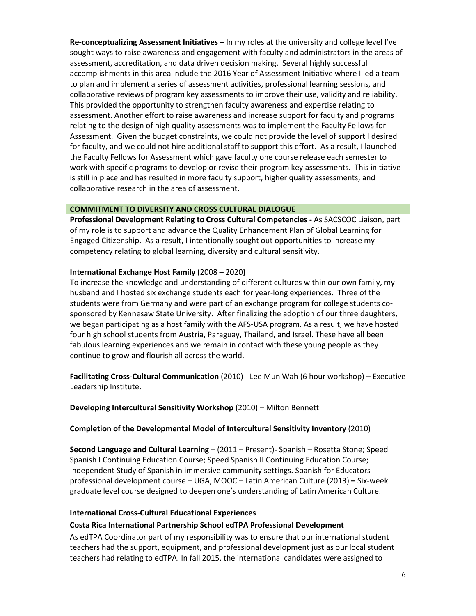**Re-conceptualizing Assessment Initiatives –** In my roles at the university and college level I've sought ways to raise awareness and engagement with faculty and administrators in the areas of assessment, accreditation, and data driven decision making. Several highly successful accomplishments in this area include the 2016 Year of Assessment Initiative where I led a team to plan and implement a series of assessment activities, professional learning sessions, and collaborative reviews of program key assessments to improve their use, validity and reliability. This provided the opportunity to strengthen faculty awareness and expertise relating to assessment. Another effort to raise awareness and increase support for faculty and programs relating to the design of high quality assessments was to implement the Faculty Fellows for Assessment. Given the budget constraints, we could not provide the level of support I desired for faculty, and we could not hire additional staff to support this effort. As a result, I launched the Faculty Fellows for Assessment which gave faculty one course release each semester to work with specific programs to develop or revise their program key assessments. This initiative is still in place and has resulted in more faculty support, higher quality assessments, and collaborative research in the area of assessment.

## **COMMITMENT TO DIVERSITY AND CROSS CULTURAL DIALOGUE**

**Professional Development Relating to Cross Cultural Competencies -** As SACSCOC Liaison, part of my role is to support and advance the Quality Enhancement Plan of Global Learning for Engaged Citizenship. As a result, I intentionally sought out opportunities to increase my competency relating to global learning, diversity and cultural sensitivity.

#### **International Exchange Host Family (**2008 – 2020**)**

To increase the knowledge and understanding of different cultures within our own family, my husband and I hosted six exchange students each for year-long experiences. Three of the students were from Germany and were part of an exchange program for college students cosponsored by Kennesaw State University. After finalizing the adoption of our three daughters, we began participating as a host family with the AFS-USA program. As a result, we have hosted four high school students from Austria, Paraguay, Thailand, and Israel. These have all been fabulous learning experiences and we remain in contact with these young people as they continue to grow and flourish all across the world.

**Facilitating Cross-Cultural Communication** (2010) - Lee Mun Wah (6 hour workshop) – Executive Leadership Institute.

**Developing Intercultural Sensitivity Workshop** (2010) – Milton Bennett

#### **Completion of the Developmental Model of Intercultural Sensitivity Inventory** (2010)

**Second Language and Cultural Learning** – (2011 – Present)- Spanish – Rosetta Stone; Speed Spanish I Continuing Education Course; Speed Spanish II Continuing Education Course; Independent Study of Spanish in immersive community settings. Spanish for Educators professional development course – UGA, MOOC – Latin American Culture (2013) **–** Six-week graduate level course designed to deepen one's understanding of Latin American Culture.

#### **International Cross-Cultural Educational Experiences**

#### **Costa Rica International Partnership School edTPA Professional Development**

As edTPA Coordinator part of my responsibility was to ensure that our international student teachers had the support, equipment, and professional development just as our local student teachers had relating to edTPA. In fall 2015, the international candidates were assigned to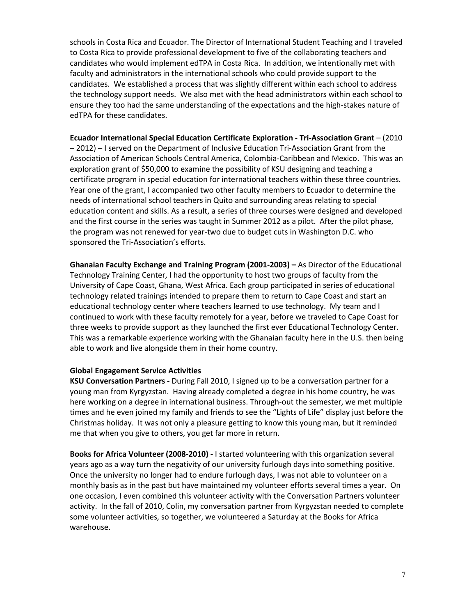schools in Costa Rica and Ecuador. The Director of International Student Teaching and I traveled to Costa Rica to provide professional development to five of the collaborating teachers and candidates who would implement edTPA in Costa Rica. In addition, we intentionally met with faculty and administrators in the international schools who could provide support to the candidates. We established a process that was slightly different within each school to address the technology support needs. We also met with the head administrators within each school to ensure they too had the same understanding of the expectations and the high-stakes nature of edTPA for these candidates.

**Ecuador International Special Education Certificate Exploration - Tri-Association Grant** – (2010 – 2012) – I served on the Department of Inclusive Education Tri-Association Grant from the Association of American Schools Central America, Colombia-Caribbean and Mexico. This was an exploration grant of \$50,000 to examine the possibility of KSU designing and teaching a certificate program in special education for international teachers within these three countries. Year one of the grant, I accompanied two other faculty members to Ecuador to determine the needs of international school teachers in Quito and surrounding areas relating to special education content and skills. As a result, a series of three courses were designed and developed and the first course in the series was taught in Summer 2012 as a pilot. After the pilot phase, the program was not renewed for year-two due to budget cuts in Washington D.C. who sponsored the Tri-Association's efforts.

**Ghanaian Faculty Exchange and Training Program (2001-2003) –** As Director of the Educational Technology Training Center, I had the opportunity to host two groups of faculty from the University of Cape Coast, Ghana, West Africa. Each group participated in series of educational technology related trainings intended to prepare them to return to Cape Coast and start an educational technology center where teachers learned to use technology. My team and I continued to work with these faculty remotely for a year, before we traveled to Cape Coast for three weeks to provide support as they launched the first ever Educational Technology Center. This was a remarkable experience working with the Ghanaian faculty here in the U.S. then being able to work and live alongside them in their home country.

#### **Global Engagement Service Activities**

**KSU Conversation Partners -** During Fall 2010, I signed up to be a conversation partner for a young man from Kyrgyzstan. Having already completed a degree in his home country, he was here working on a degree in international business. Through-out the semester, we met multiple times and he even joined my family and friends to see the "Lights of Life" display just before the Christmas holiday. It was not only a pleasure getting to know this young man, but it reminded me that when you give to others, you get far more in return.

**Books for Africa Volunteer (2008-2010) -** I started volunteering with this organization several years ago as a way turn the negativity of our university furlough days into something positive. Once the university no longer had to endure furlough days, I was not able to volunteer on a monthly basis as in the past but have maintained my volunteer efforts several times a year. On one occasion, I even combined this volunteer activity with the Conversation Partners volunteer activity. In the fall of 2010, Colin, my conversation partner from Kyrgyzstan needed to complete some volunteer activities, so together, we volunteered a Saturday at the Books for Africa warehouse.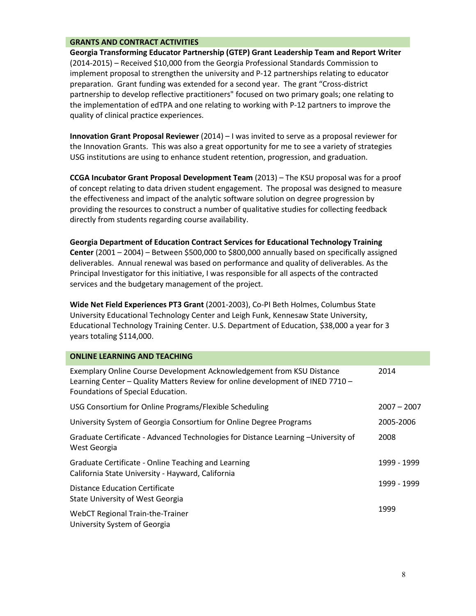## **GRANTS AND CONTRACT ACTIVITIES**

**Georgia Transforming Educator Partnership (GTEP) Grant Leadership Team and Report Writer**  (2014-2015) – Received \$10,000 from the Georgia Professional Standards Commission to implement proposal to strengthen the university and P-12 partnerships relating to educator preparation. Grant funding was extended for a second year. The grant "Cross-district partnership to develop reflective practitioners" focused on two primary goals; one relating to the implementation of edTPA and one relating to working with P-12 partners to improve the quality of clinical practice experiences.

**Innovation Grant Proposal Reviewer** (2014) – I was invited to serve as a proposal reviewer for the Innovation Grants. This was also a great opportunity for me to see a variety of strategies USG institutions are using to enhance student retention, progression, and graduation.

**CCGA Incubator Grant Proposal Development Team** (2013) – The KSU proposal was for a proof of concept relating to data driven student engagement. The proposal was designed to measure the effectiveness and impact of the analytic software solution on degree progression by providing the resources to construct a number of qualitative studies for collecting feedback directly from students regarding course availability.

**Georgia Department of Education Contract Services for Educational Technology Training Center** (2001 – 2004) – Between \$500,000 to \$800,000 annually based on specifically assigned deliverables. Annual renewal was based on performance and quality of deliverables. As the Principal Investigator for this initiative, I was responsible for all aspects of the contracted services and the budgetary management of the project.

**Wide Net Field Experiences PT3 Grant** (2001-2003), Co-PI Beth Holmes, Columbus State University Educational Technology Center and Leigh Funk, Kennesaw State University, Educational Technology Training Center. U.S. Department of Education, \$38,000 a year for 3 years totaling \$114,000.

| <b>ONLINE LEARNING AND TEACHING</b>                                                                                                                                                          |               |
|----------------------------------------------------------------------------------------------------------------------------------------------------------------------------------------------|---------------|
| Exemplary Online Course Development Acknowledgement from KSU Distance<br>Learning Center - Quality Matters Review for online development of INED 7710 -<br>Foundations of Special Education. | 2014          |
| USG Consortium for Online Programs/Flexible Scheduling                                                                                                                                       | $2007 - 2007$ |
| University System of Georgia Consortium for Online Degree Programs                                                                                                                           | 2005-2006     |
| Graduate Certificate - Advanced Technologies for Distance Learning - University of<br>West Georgia                                                                                           | 2008          |
| Graduate Certificate - Online Teaching and Learning<br>California State University - Hayward, California                                                                                     | 1999 - 1999   |
| Distance Education Certificate<br>State University of West Georgia                                                                                                                           | 1999 - 1999   |
| <b>WebCT Regional Train-the-Trainer</b><br>University System of Georgia                                                                                                                      | 1999          |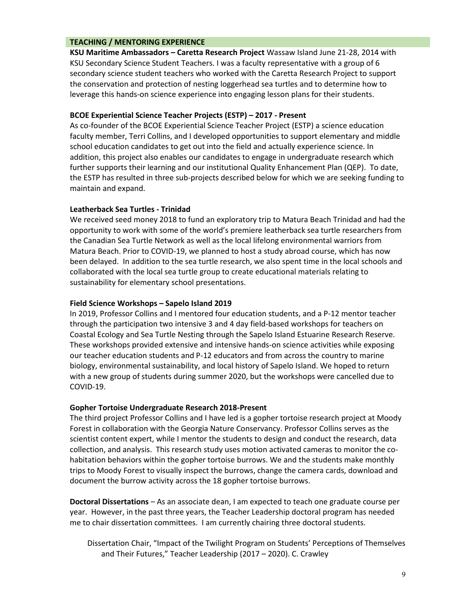#### **TEACHING / MENTORING EXPERIENCE**

**KSU Maritime Ambassadors – Caretta Research Project** Wassaw Island June 21-28, 2014 with KSU Secondary Science Student Teachers. I was a faculty representative with a group of 6 secondary science student teachers who worked with the Caretta Research Project to support the conservation and protection of nesting loggerhead sea turtles and to determine how to leverage this hands-on science experience into engaging lesson plans for their students.

## **BCOE Experiential Science Teacher Projects (ESTP) – 2017 - Present**

As co-founder of the BCOE Experiential Science Teacher Project (ESTP) a science education faculty member, Terri Collins, and I developed opportunities to support elementary and middle school education candidates to get out into the field and actually experience science. In addition, this project also enables our candidates to engage in undergraduate research which further supports their learning and our institutional Quality Enhancement Plan (QEP). To date, the ESTP has resulted in three sub-projects described below for which we are seeking funding to maintain and expand.

## **Leatherback Sea Turtles - Trinidad**

We received seed money 2018 to fund an exploratory trip to Matura Beach Trinidad and had the opportunity to work with some of the world's premiere leatherback sea turtle researchers from the Canadian Sea Turtle Network as well as the local lifelong environmental warriors from Matura Beach. Prior to COVID-19, we planned to host a study abroad course, which has now been delayed. In addition to the sea turtle research, we also spent time in the local schools and collaborated with the local sea turtle group to create educational materials relating to sustainability for elementary school presentations.

## **Field Science Workshops – Sapelo Island 2019**

In 2019, Professor Collins and I mentored four education students, and a P-12 mentor teacher through the participation two intensive 3 and 4 day field-based workshops for teachers on Coastal Ecology and Sea Turtle Nesting through the Sapelo Island Estuarine Research Reserve. These workshops provided extensive and intensive hands-on science activities while exposing our teacher education students and P-12 educators and from across the country to marine biology, environmental sustainability, and local history of Sapelo Island. We hoped to return with a new group of students during summer 2020, but the workshops were cancelled due to COVID-19.

#### **Gopher Tortoise Undergraduate Research 2018-Present**

The third project Professor Collins and I have led is a gopher tortoise research project at Moody Forest in collaboration with the Georgia Nature Conservancy. Professor Collins serves as the scientist content expert, while I mentor the students to design and conduct the research, data collection, and analysis. This research study uses motion activated cameras to monitor the cohabitation behaviors within the gopher tortoise burrows. We and the students make monthly trips to Moody Forest to visually inspect the burrows, change the camera cards, download and document the burrow activity across the 18 gopher tortoise burrows.

**Doctoral Dissertations** – As an associate dean, I am expected to teach one graduate course per year. However, in the past three years, the Teacher Leadership doctoral program has needed me to chair dissertation committees. I am currently chairing three doctoral students.

Dissertation Chair, "Impact of the Twilight Program on Students' Perceptions of Themselves and Their Futures," Teacher Leadership (2017 – 2020). C. Crawley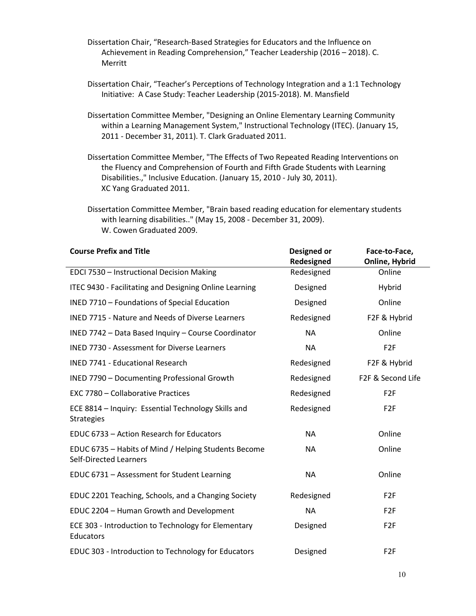- Dissertation Chair, "Research-Based Strategies for Educators and the Influence on Achievement in Reading Comprehension," Teacher Leadership (2016 – 2018). C. Merritt
- Dissertation Chair, "Teacher's Perceptions of Technology Integration and a 1:1 Technology Initiative: A Case Study: Teacher Leadership (2015-2018). M. Mansfield
- Dissertation Committee Member, "Designing an Online Elementary Learning Community within a Learning Management System," Instructional Technology (ITEC). (January 15, 2011 - December 31, 2011). T. Clark Graduated 2011.
- Dissertation Committee Member, "The Effects of Two Repeated Reading Interventions on the Fluency and Comprehension of Fourth and Fifth Grade Students with Learning Disabilities.," Inclusive Education. (January 15, 2010 - July 30, 2011). XC Yang Graduated 2011.
- Dissertation Committee Member, "Brain based reading education for elementary students with learning disabilities.." (May 15, 2008 - December 31, 2009). W. Cowen Graduated 2009.

| <b>Course Prefix and Title</b>                                                        | Designed or<br>Redesigned | Face-to-Face,<br>Online, Hybrid |
|---------------------------------------------------------------------------------------|---------------------------|---------------------------------|
| EDCI 7530 - Instructional Decision Making                                             | Redesigned                | Online                          |
| ITEC 9430 - Facilitating and Designing Online Learning                                | Designed                  | Hybrid                          |
| INED 7710 - Foundations of Special Education                                          | Designed                  | Online                          |
| <b>INED 7715 - Nature and Needs of Diverse Learners</b>                               | Redesigned                | F2F & Hybrid                    |
| INED 7742 - Data Based Inquiry - Course Coordinator                                   | <b>NA</b>                 | Online                          |
| <b>INED 7730 - Assessment for Diverse Learners</b>                                    | <b>NA</b>                 | F <sub>2F</sub>                 |
| <b>INED 7741 - Educational Research</b>                                               | Redesigned                | F2F & Hybrid                    |
| <b>INED 7790 - Documenting Professional Growth</b>                                    | Redesigned                | F2F & Second Life               |
| <b>EXC 7780 - Collaborative Practices</b>                                             | Redesigned                | F <sub>2</sub> F                |
| ECE 8814 - Inquiry: Essential Technology Skills and<br><b>Strategies</b>              | Redesigned                | F <sub>2</sub> F                |
| EDUC 6733 - Action Research for Educators                                             | <b>NA</b>                 | Online                          |
| EDUC 6735 - Habits of Mind / Helping Students Become<br><b>Self-Directed Learners</b> | <b>NA</b>                 | Online                          |
| EDUC 6731 - Assessment for Student Learning                                           | <b>NA</b>                 | Online                          |
| EDUC 2201 Teaching, Schools, and a Changing Society                                   | Redesigned                | F <sub>2F</sub>                 |
| EDUC 2204 - Human Growth and Development                                              | <b>NA</b>                 | F <sub>2F</sub>                 |
| ECE 303 - Introduction to Technology for Elementary<br>Educators                      | Designed                  | F <sub>2F</sub>                 |
| EDUC 303 - Introduction to Technology for Educators                                   | Designed                  | F <sub>2F</sub>                 |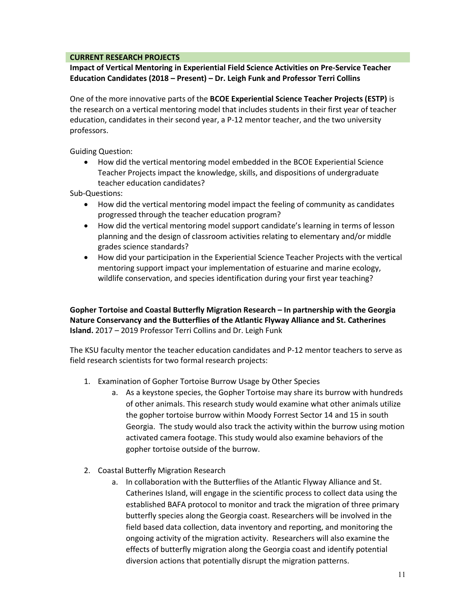## **CURRENT RESEARCH PROJECTS**

**Impact of Vertical Mentoring in Experiential Field Science Activities on Pre-Service Teacher Education Candidates (2018 – Present) – Dr. Leigh Funk and Professor Terri Collins**

One of the more innovative parts of the **BCOE Experiential Science Teacher Projects (ESTP)** is the research on a vertical mentoring model that includes students in their first year of teacher education, candidates in their second year, a P-12 mentor teacher, and the two university professors.

Guiding Question:

• How did the vertical mentoring model embedded in the BCOE Experiential Science Teacher Projects impact the knowledge, skills, and dispositions of undergraduate teacher education candidates?

Sub-Questions:

- How did the vertical mentoring model impact the feeling of community as candidates progressed through the teacher education program?
- How did the vertical mentoring model support candidate's learning in terms of lesson planning and the design of classroom activities relating to elementary and/or middle grades science standards?
- How did your participation in the Experiential Science Teacher Projects with the vertical mentoring support impact your implementation of estuarine and marine ecology, wildlife conservation, and species identification during your first year teaching?

**Gopher Tortoise and Coastal Butterfly Migration Research – In partnership with the Georgia Nature Conservancy and the Butterflies of the Atlantic Flyway Alliance and St. Catherines Island.** 2017 – 2019 Professor Terri Collins and Dr. Leigh Funk

The KSU faculty mentor the teacher education candidates and P-12 mentor teachers to serve as field research scientists for two formal research projects:

- 1. Examination of Gopher Tortoise Burrow Usage by Other Species
	- a. As a keystone species, the Gopher Tortoise may share its burrow with hundreds of other animals. This research study would examine what other animals utilize the gopher tortoise burrow within Moody Forrest Sector 14 and 15 in south Georgia. The study would also track the activity within the burrow using motion activated camera footage. This study would also examine behaviors of the gopher tortoise outside of the burrow.
- 2. Coastal Butterfly Migration Research
	- a. In collaboration with the Butterflies of the Atlantic Flyway Alliance and St. Catherines Island, will engage in the scientific process to collect data using the established BAFA protocol to monitor and track the migration of three primary butterfly species along the Georgia coast. Researchers will be involved in the field based data collection, data inventory and reporting, and monitoring the ongoing activity of the migration activity. Researchers will also examine the effects of butterfly migration along the Georgia coast and identify potential diversion actions that potentially disrupt the migration patterns.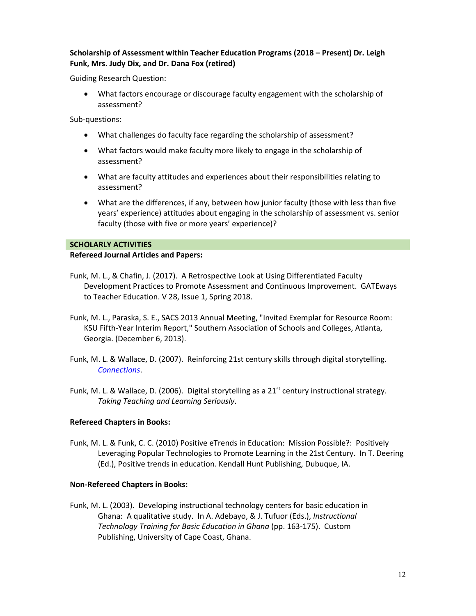## **Scholarship of Assessment within Teacher Education Programs (2018 – Present) Dr. Leigh Funk, Mrs. Judy Dix, and Dr. Dana Fox (retired)**

Guiding Research Question:

• What factors encourage or discourage faculty engagement with the scholarship of assessment?

Sub-questions:

- What challenges do faculty face regarding the scholarship of assessment?
- What factors would make faculty more likely to engage in the scholarship of assessment?
- What are faculty attitudes and experiences about their responsibilities relating to assessment?
- What are the differences, if any, between how junior faculty (those with less than five years' experience) attitudes about engaging in the scholarship of assessment vs. senior faculty (those with five or more years' experience)?

## **SCHOLARLY ACTIVITIES**

## **Refereed Journal Articles and Papers:**

- Funk, M. L., & Chafin, J. (2017). A Retrospective Look at Using Differentiated Faculty Development Practices to Promote Assessment and Continuous Improvement. GATEways to Teacher Education. V 28, Issue 1, Spring 2018.
- Funk, M. L., Paraska, S. E., SACS 2013 Annual Meeting, "Invited Exemplar for Resource Room: KSU Fifth-Year Interim Report," Southern Association of Schools and Colleges, Atlanta, Georgia. (December 6, 2013).
- Funk, M. L. & Wallace, D. (2007). Reinforcing 21st century skills through digital storytelling. *[Connections](http://www.gcte.net/Publications/index.htm)*.
- Funk, M. L. & Wallace, D. (2006). Digital storytelling as a  $21<sup>st</sup>$  century instructional strategy. *Taking Teaching and Learning Seriously*.

## **Refereed Chapters in Books:**

Funk, M. L. & Funk, C. C. (2010) Positive eTrends in Education: Mission Possible?: Positively Leveraging Popular Technologies to Promote Learning in the 21st Century. In T. Deering (Ed.), Positive trends in education. Kendall Hunt Publishing, Dubuque, IA.

## **Non-Refereed Chapters in Books:**

Funk, M. L. (2003). Developing instructional technology centers for basic education in Ghana: A qualitative study. In A. Adebayo, & J. Tufuor (Eds.), *Instructional Technology Training for Basic Education in Ghana* (pp. 163-175). Custom Publishing, University of Cape Coast, Ghana.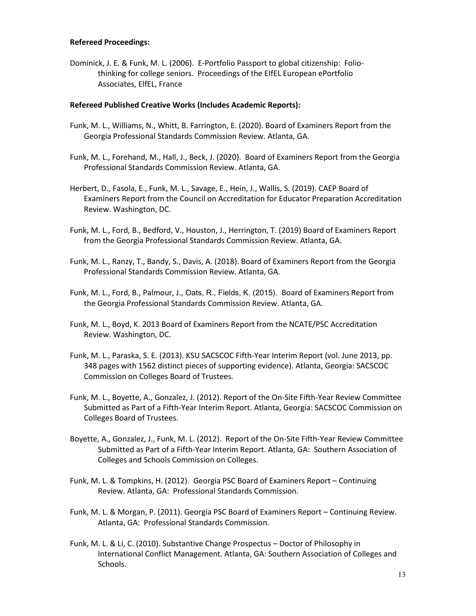#### **Refereed Proceedings:**

Dominick, J. E. & Funk, M. L. (2006). E-Portfolio Passport to global citizenship: Foliothinking for college seniors. Proceedings of the EIfEL European ePortfolio Associates, ElfEL, France

## **Refereed Published Creative Works (Includes Academic Reports):**

- Funk, M. L., Williams, N., Whitt, B. Farrington, E. (2020). Board of Examiners Report from the Georgia Professional Standards Commission Review. Atlanta, GA.
- Funk, M. L., Forehand, M., Hall, J., Beck, J. (2020). Board of Examiners Report from the Georgia Professional Standards Commission Review. Atlanta, GA.
- Herbert, D., Fasola, E., Funk, M. L., Savage, E., Hein, J., Wallis, S. (2019). CAEP Board of Examiners Report from the Council on Accreditation for Educator Preparation Accreditation Review. Washington, DC.
- Funk, M. L., Ford, B., Bedford, V., Houston, J., Herrington, T. (2019) Board of Examiners Report from the Georgia Professional Standards Commission Review. Atlanta, GA.
- Funk, M. L., Ranzy, T., Bandy, S., Davis, A. (2018). Board of Examiners Report from the Georgia Professional Standards Commission Review. Atlanta, GA.
- Funk, M. L., Ford, B., Palmour, J., Oats, R., Fields, K. (2015). Board of Examiners Report from the Georgia Professional Standards Commission Review. Atlanta, GA.
- Funk, M. L., Boyd, K. 2013 Board of Examiners Report from the NCATE/PSC Accreditation Review. Washington, DC.
- Funk, M. L., Paraska, S. E. (2013). KSU SACSCOC Fifth-Year Interim Report (vol. June 2013, pp. 348 pages with 1562 distinct pieces of supporting evidence). Atlanta, Georgia: SACSCOC Commission on Colleges Board of Trustees.
- Funk, M. L., Boyette, A., Gonzalez, J. (2012). Report of the On-Site Fifth-Year Review Committee Submitted as Part of a Fifth-Year Interim Report. Atlanta, Georgia: SACSCOC Commission on Colleges Board of Trustees.
- Boyette, A., Gonzalez, J., Funk, M. L. (2012). Report of the On-Site Fifth-Year Review Committee Submitted as Part of a Fifth-Year Interim Report. Atlanta, GA: Southern Association of Colleges and Schools Commission on Colleges.
- Funk, M. L. & Tompkins, H. (2012). Georgia PSC Board of Examiners Report Continuing Review. Atlanta, GA: Professional Standards Commission.
- Funk, M. L. & Morgan, P. (2011). Georgia PSC Board of Examiners Report Continuing Review. Atlanta, GA: Professional Standards Commission.
- Funk, M. L. & Li, C. (2010). Substantive Change Prospectus Doctor of Philosophy in International Conflict Management. Atlanta, GA: Southern Association of Colleges and Schools.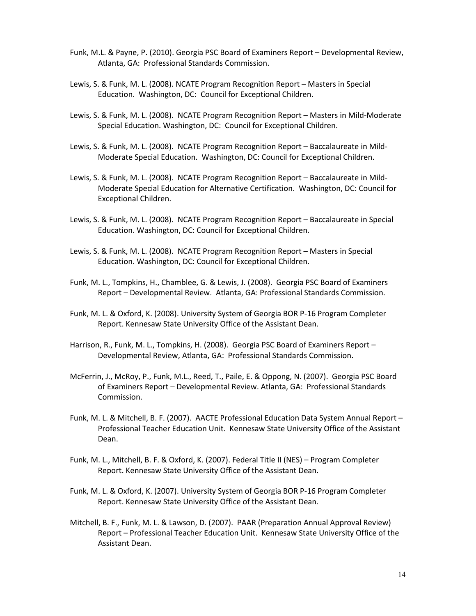- Funk, M.L. & Payne, P. (2010). Georgia PSC Board of Examiners Report Developmental Review, Atlanta, GA: Professional Standards Commission.
- Lewis, S. & Funk, M. L. (2008). NCATE Program Recognition Report Masters in Special Education. Washington, DC: Council for Exceptional Children.
- Lewis, S. & Funk, M. L. (2008). NCATE Program Recognition Report Masters in Mild-Moderate Special Education. Washington, DC: Council for Exceptional Children.
- Lewis, S. & Funk, M. L. (2008). NCATE Program Recognition Report Baccalaureate in Mild-Moderate Special Education. Washington, DC: Council for Exceptional Children.
- Lewis, S. & Funk, M. L. (2008). NCATE Program Recognition Report Baccalaureate in Mild-Moderate Special Education for Alternative Certification. Washington, DC: Council for Exceptional Children.
- Lewis, S. & Funk, M. L. (2008). NCATE Program Recognition Report Baccalaureate in Special Education. Washington, DC: Council for Exceptional Children.
- Lewis, S. & Funk, M. L. (2008). NCATE Program Recognition Report Masters in Special Education. Washington, DC: Council for Exceptional Children.
- Funk, M. L., Tompkins, H., Chamblee, G. & Lewis, J. (2008). Georgia PSC Board of Examiners Report – Developmental Review. Atlanta, GA: Professional Standards Commission.
- Funk, M. L. & Oxford, K. (2008). University System of Georgia BOR P-16 Program Completer Report. Kennesaw State University Office of the Assistant Dean.
- Harrison, R., Funk, M. L., Tompkins, H. (2008). Georgia PSC Board of Examiners Report Developmental Review, Atlanta, GA: Professional Standards Commission.
- McFerrin, J., McRoy, P., Funk, M.L., Reed, T., Paile, E. & Oppong, N. (2007). Georgia PSC Board of Examiners Report – Developmental Review. Atlanta, GA: Professional Standards Commission.
- Funk, M. L. & Mitchell, B. F. (2007). AACTE Professional Education Data System Annual Report Professional Teacher Education Unit. Kennesaw State University Office of the Assistant Dean.
- Funk, M. L., Mitchell, B. F. & Oxford, K. (2007). Federal Title II (NES) Program Completer Report. Kennesaw State University Office of the Assistant Dean.
- Funk, M. L. & Oxford, K. (2007). University System of Georgia BOR P-16 Program Completer Report. Kennesaw State University Office of the Assistant Dean.
- Mitchell, B. F., Funk, M. L. & Lawson, D. (2007). PAAR (Preparation Annual Approval Review) Report – Professional Teacher Education Unit. Kennesaw State University Office of the Assistant Dean.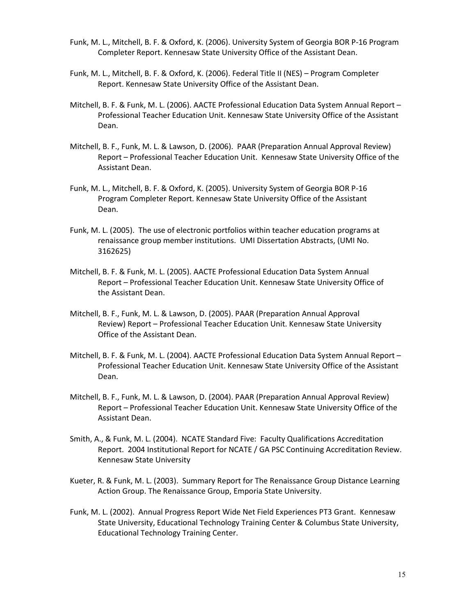- Funk, M. L., Mitchell, B. F. & Oxford, K. (2006). University System of Georgia BOR P-16 Program Completer Report. Kennesaw State University Office of the Assistant Dean.
- Funk, M. L., Mitchell, B. F. & Oxford, K. (2006). Federal Title II (NES) Program Completer Report. Kennesaw State University Office of the Assistant Dean.
- Mitchell, B. F. & Funk, M. L. (2006). AACTE Professional Education Data System Annual Report Professional Teacher Education Unit. Kennesaw State University Office of the Assistant Dean.
- Mitchell, B. F., Funk, M. L. & Lawson, D. (2006). PAAR (Preparation Annual Approval Review) Report – Professional Teacher Education Unit. Kennesaw State University Office of the Assistant Dean.
- Funk, M. L., Mitchell, B. F. & Oxford, K. (2005). University System of Georgia BOR P-16 Program Completer Report. Kennesaw State University Office of the Assistant Dean.
- Funk, M. L. (2005). The use of electronic portfolios within teacher education programs at renaissance group member institutions. UMI Dissertation Abstracts, (UMI No. 3162625)
- Mitchell, B. F. & Funk, M. L. (2005). AACTE Professional Education Data System Annual Report – Professional Teacher Education Unit. Kennesaw State University Office of the Assistant Dean.
- Mitchell, B. F., Funk, M. L. & Lawson, D. (2005). PAAR (Preparation Annual Approval Review) Report – Professional Teacher Education Unit. Kennesaw State University Office of the Assistant Dean.
- Mitchell, B. F. & Funk, M. L. (2004). AACTE Professional Education Data System Annual Report Professional Teacher Education Unit. Kennesaw State University Office of the Assistant Dean.
- Mitchell, B. F., Funk, M. L. & Lawson, D. (2004). PAAR (Preparation Annual Approval Review) Report – Professional Teacher Education Unit. Kennesaw State University Office of the Assistant Dean.
- Smith, A., & Funk, M. L. (2004). NCATE Standard Five: Faculty Qualifications Accreditation Report. 2004 Institutional Report for NCATE / GA PSC Continuing Accreditation Review. Kennesaw State University
- Kueter, R. & Funk, M. L. (2003). Summary Report for The Renaissance Group Distance Learning Action Group. The Renaissance Group, Emporia State University.
- Funk, M. L. (2002). Annual Progress Report Wide Net Field Experiences PT3 Grant. Kennesaw State University, Educational Technology Training Center & Columbus State University, Educational Technology Training Center.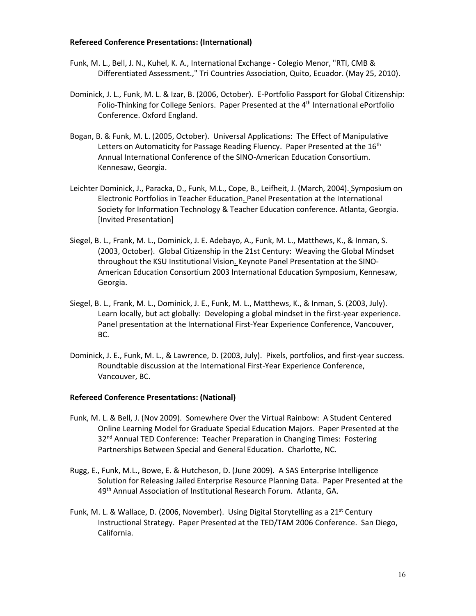#### **Refereed Conference Presentations: (International)**

- Funk, M. L., Bell, J. N., Kuhel, K. A., International Exchange Colegio Menor, "RTI, CMB & Differentiated Assessment.," Tri Countries Association, Quito, Ecuador. (May 25, 2010).
- Dominick, J. L., Funk, M. L. & Izar, B. (2006, October). E-Portfolio Passport for Global Citizenship: Folio-Thinking for College Seniors. Paper Presented at the 4<sup>th</sup> International ePortfolio Conference. Oxford England.
- Bogan, B. & Funk, M. L. (2005, October). Universal Applications: The Effect of Manipulative Letters on Automaticity for Passage Reading Fluency. Paper Presented at the 16<sup>th</sup> Annual International Conference of the SINO-American Education Consortium. Kennesaw, Georgia.
- Leichter Dominick, J., Paracka, D., Funk, M.L., Cope, B., Leifheit, J. (March, 2004). [Symposium on](http://www.eport2passport.com/SITE/index.html)  [Electronic Portfolios in Teacher Education.](http://www.eport2passport.com/SITE/index.html) Panel Presentation at the International Society for Information Technology & Teacher Education conference. Atlanta, Georgia. [Invited Presentation]
- Siegel, B. L., Frank, M. L., Dominick, J. E. Adebayo, A., Funk, M. L., Matthews, K., & Inman, S. (2003, October). Global Citizenship in the 21st Century: Weaving the Global Mindset throughout the KSU Institutional Vision. Keynote Panel Presentation at the SINO-American Education Consortium 2003 International Education Symposium, Kennesaw, Georgia.
- Siegel, B. L., Frank, M. L., Dominick, J. E., Funk, M. L., Matthews, K., & Inman, S. (2003, July). Learn locally, but act globally: Developing a global mindset in the first-year experience. Panel presentation at the International First-Year Experience Conference, Vancouver, BC.
- Dominick, J. E., Funk, M. L., & Lawrence, D. (2003, July). Pixels, portfolios, and first-year success. Roundtable discussion at the International First-Year Experience Conference, Vancouver, BC.

#### **Refereed Conference Presentations: (National)**

- Funk, M. L. & Bell, J. (Nov 2009). Somewhere Over the Virtual Rainbow: A Student Centered Online Learning Model for Graduate Special Education Majors. Paper Presented at the 32<sup>nd</sup> Annual TED Conference: Teacher Preparation in Changing Times: Fostering Partnerships Between Special and General Education. Charlotte, NC.
- Rugg, E., Funk, M.L., Bowe, E. & Hutcheson, D. (June 2009). A SAS Enterprise Intelligence Solution for Releasing Jailed Enterprise Resource Planning Data. Paper Presented at the 49<sup>th</sup> Annual Association of Institutional Research Forum. Atlanta, GA.
- Funk, M. L. & Wallace, D. (2006, November). Using Digital Storytelling as a  $21^{st}$  Century Instructional Strategy. Paper Presented at the TED/TAM 2006 Conference. San Diego, California.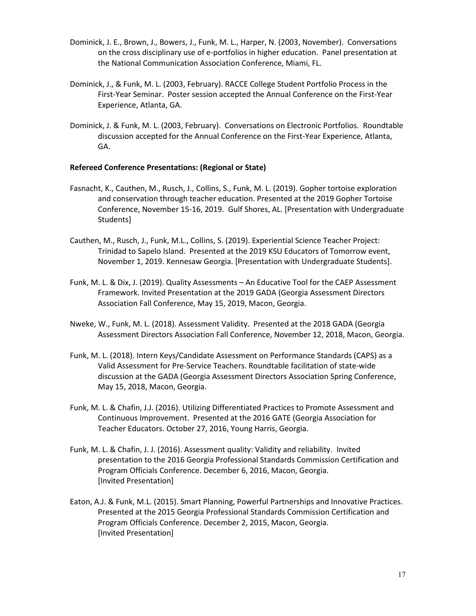- Dominick, J. E., Brown, J., Bowers, J., Funk, M. L., Harper, N. (2003, November). Conversations on the cross disciplinary use of e-portfolios in higher education. Panel presentation at the National Communication Association Conference, Miami, FL.
- Dominick, J., & Funk, M. L. (2003, February). RACCE College Student Portfolio Process in the First-Year Seminar. Poster session accepted the Annual Conference on the First-Year Experience, Atlanta, GA.
- Dominick, J. & Funk, M. L. (2003, February). Conversations on Electronic Portfolios. Roundtable discussion accepted for the Annual Conference on the First-Year Experience, Atlanta, GA.

## **Refereed Conference Presentations: (Regional or State)**

- Fasnacht, K., Cauthen, M., Rusch, J., Collins, S., Funk, M. L. (2019). Gopher tortoise exploration and conservation through teacher education. Presented at the 2019 Gopher Tortoise Conference, November 15-16, 2019. Gulf Shores, AL. [Presentation with Undergraduate Students]
- Cauthen, M., Rusch, J., Funk, M.L., Collins, S. (2019). Experiential Science Teacher Project: Trinidad to Sapelo Island. Presented at the 2019 KSU Educators of Tomorrow event, November 1, 2019. Kennesaw Georgia. [Presentation with Undergraduate Students].
- Funk, M. L. & Dix, J. (2019). Quality Assessments An Educative Tool for the CAEP Assessment Framework. Invited Presentation at the 2019 GADA (Georgia Assessment Directors Association Fall Conference, May 15, 2019, Macon, Georgia.
- Nweke, W., Funk, M. L. (2018). Assessment Validity. Presented at the 2018 GADA (Georgia Assessment Directors Association Fall Conference, November 12, 2018, Macon, Georgia.
- Funk, M. L. (2018). Intern Keys/Candidate Assessment on Performance Standards (CAPS) as a Valid Assessment for Pre-Service Teachers. Roundtable facilitation of state-wide discussion at the GADA (Georgia Assessment Directors Association Spring Conference, May 15, 2018, Macon, Georgia.
- Funk, M. L. & Chafin, J.J. (2016). Utilizing Differentiated Practices to Promote Assessment and Continuous Improvement. Presented at the 2016 GATE (Georgia Association for Teacher Educators. October 27, 2016, Young Harris, Georgia.
- Funk, M. L. & Chafin, J. J. (2016). Assessment quality: Validity and reliability. Invited presentation to the 2016 Georgia Professional Standards Commission Certification and Program Officials Conference. December 6, 2016, Macon, Georgia. [Invited Presentation]
- Eaton, A.J. & Funk, M.L. (2015). Smart Planning, Powerful Partnerships and Innovative Practices. Presented at the 2015 Georgia Professional Standards Commission Certification and Program Officials Conference. December 2, 2015, Macon, Georgia. [Invited Presentation]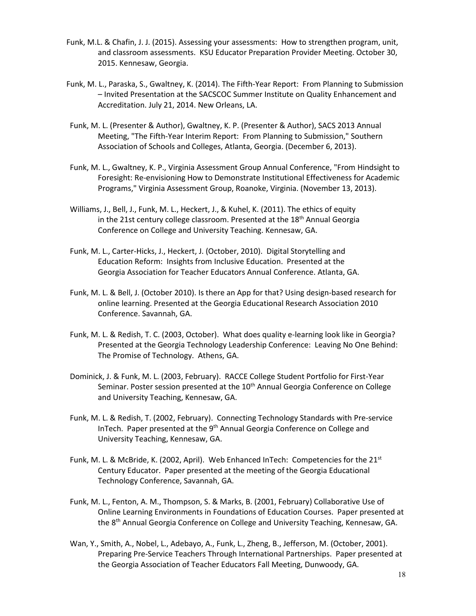- Funk, M.L. & Chafin, J. J. (2015). Assessing your assessments: How to strengthen program, unit, and classroom assessments. KSU Educator Preparation Provider Meeting. October 30, 2015. Kennesaw, Georgia.
- Funk, M. L., Paraska, S., Gwaltney, K. (2014). The Fifth-Year Report: From Planning to Submission – Invited Presentation at the SACSCOC Summer Institute on Quality Enhancement and Accreditation. July 21, 2014. New Orleans, LA.
- Funk, M. L. (Presenter & Author), Gwaltney, K. P. (Presenter & Author), SACS 2013 Annual Meeting, "The Fifth-Year Interim Report: From Planning to Submission," Southern Association of Schools and Colleges, Atlanta, Georgia. (December 6, 2013).
- Funk, M. L., Gwaltney, K. P., Virginia Assessment Group Annual Conference, "From Hindsight to Foresight: Re-envisioning How to Demonstrate Institutional Effectiveness for Academic Programs," Virginia Assessment Group, Roanoke, Virginia. (November 13, 2013).
- Williams, J., Bell, J., Funk, M. L., Heckert, J., & Kuhel, K. (2011). The ethics of equity in the 21st century college classroom. Presented at the  $18<sup>th</sup>$  Annual Georgia Conference on College and University Teaching. Kennesaw, GA.
- Funk, M. L., Carter-Hicks, J., Heckert, J. (October, 2010). Digital Storytelling and Education Reform: Insights from Inclusive Education. Presented at the Georgia Association for Teacher Educators Annual Conference. Atlanta, GA.
- Funk, M. L. & Bell, J. (October 2010). Is there an App for that? Using design-based research for online learning. Presented at the Georgia Educational Research Association 2010 Conference. Savannah, GA.
- Funk, M. L. & Redish, T. C. (2003, October). What does quality e-learning look like in Georgia? Presented at the Georgia Technology Leadership Conference: Leaving No One Behind: The Promise of Technology. Athens, GA.
- Dominick, J. & Funk, M. L. (2003, February). RACCE College Student Portfolio for First-Year Seminar. Poster session presented at the 10<sup>th</sup> Annual Georgia Conference on College and University Teaching, Kennesaw, GA.
- Funk, M. L. & Redish, T. (2002, February). Connecting Technology Standards with Pre-service InTech. Paper presented at the 9<sup>th</sup> Annual Georgia Conference on College and University Teaching, Kennesaw, GA.
- Funk, M. L. & McBride, K. (2002, April). Web Enhanced InTech: Competencies for the  $21<sup>st</sup>$ Century Educator. Paper presented at the meeting of the Georgia Educational Technology Conference, Savannah, GA.
- Funk, M. L., Fenton, A. M., Thompson, S. & Marks, B. (2001, February) Collaborative Use of Online Learning Environments in Foundations of Education Courses. Paper presented at the 8<sup>th</sup> Annual Georgia Conference on College and University Teaching, Kennesaw, GA.
- Wan, Y., Smith, A., Nobel, L., Adebayo, A., Funk, L., Zheng, B., Jefferson, M. (October, 2001). Preparing Pre-Service Teachers Through International Partnerships. Paper presented at the Georgia Association of Teacher Educators Fall Meeting, Dunwoody, GA.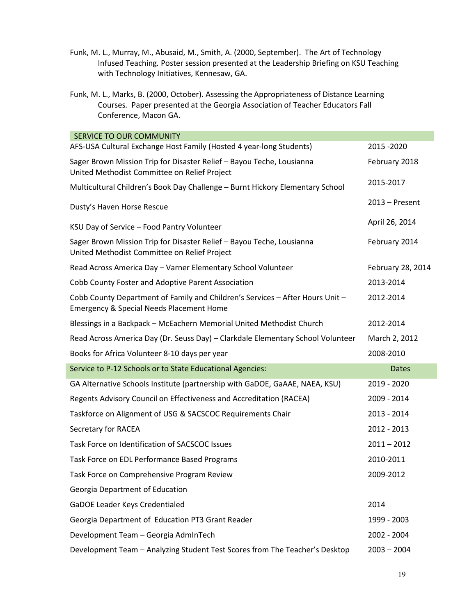- Funk, M. L., Murray, M., Abusaid, M., Smith, A. (2000, September). The Art of Technology Infused Teaching*.* Poster session presented at the Leadership Briefing on KSU Teaching with Technology Initiatives, Kennesaw, GA.
- Funk, M. L., Marks, B. (2000, October). Assessing the Appropriateness of Distance Learning Courses*.* Paper presented at the Georgia Association of Teacher Educators Fall Conference, Macon GA.

| SERVICE TO OUR COMMUNITY                                                                                                             |                   |
|--------------------------------------------------------------------------------------------------------------------------------------|-------------------|
| AFS-USA Cultural Exchange Host Family (Hosted 4 year-long Students)                                                                  | 2015 - 2020       |
| Sager Brown Mission Trip for Disaster Relief - Bayou Teche, Lousianna<br>United Methodist Committee on Relief Project                | February 2018     |
| Multicultural Children's Book Day Challenge - Burnt Hickory Elementary School                                                        | 2015-2017         |
| Dusty's Haven Horse Rescue                                                                                                           | $2013$ – Present  |
| KSU Day of Service - Food Pantry Volunteer                                                                                           | April 26, 2014    |
| Sager Brown Mission Trip for Disaster Relief - Bayou Teche, Lousianna<br>United Methodist Committee on Relief Project                | February 2014     |
| Read Across America Day - Varner Elementary School Volunteer                                                                         | February 28, 2014 |
| Cobb County Foster and Adoptive Parent Association                                                                                   | 2013-2014         |
| Cobb County Department of Family and Children's Services - After Hours Unit -<br><b>Emergency &amp; Special Needs Placement Home</b> | 2012-2014         |
| Blessings in a Backpack - McEachern Memorial United Methodist Church                                                                 | 2012-2014         |
| Read Across America Day (Dr. Seuss Day) - Clarkdale Elementary School Volunteer                                                      | March 2, 2012     |
| Books for Africa Volunteer 8-10 days per year                                                                                        | 2008-2010         |
| Service to P-12 Schools or to State Educational Agencies:                                                                            | <b>Dates</b>      |
| GA Alternative Schools Institute (partnership with GaDOE, GaAAE, NAEA, KSU)                                                          | 2019 - 2020       |
| Regents Advisory Council on Effectiveness and Accreditation (RACEA)                                                                  | 2009 - 2014       |
| Taskforce on Alignment of USG & SACSCOC Requirements Chair                                                                           | 2013 - 2014       |
| Secretary for RACEA                                                                                                                  | 2012 - 2013       |
| Task Force on Identification of SACSCOC Issues                                                                                       | $2011 - 2012$     |
| Task Force on EDL Performance Based Programs                                                                                         | 2010-2011         |
| Task Force on Comprehensive Program Review                                                                                           | 2009-2012         |
| Georgia Department of Education                                                                                                      |                   |
| GaDOE Leader Keys Credentialed                                                                                                       | 2014              |
| Georgia Department of Education PT3 Grant Reader                                                                                     | 1999 - 2003       |
| Development Team - Georgia AdmInTech                                                                                                 | 2002 - 2004       |
| Development Team - Analyzing Student Test Scores from The Teacher's Desktop                                                          | $2003 - 2004$     |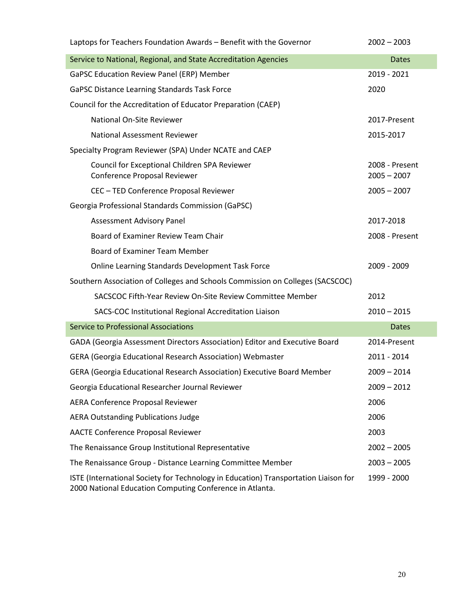| Laptops for Teachers Foundation Awards - Benefit with the Governor                                                                              | $2002 - 2003$                   |
|-------------------------------------------------------------------------------------------------------------------------------------------------|---------------------------------|
| Service to National, Regional, and State Accreditation Agencies                                                                                 | <b>Dates</b>                    |
| GaPSC Education Review Panel (ERP) Member                                                                                                       | 2019 - 2021                     |
| GaPSC Distance Learning Standards Task Force                                                                                                    | 2020                            |
| Council for the Accreditation of Educator Preparation (CAEP)                                                                                    |                                 |
| National On-Site Reviewer                                                                                                                       | 2017-Present                    |
| National Assessment Reviewer                                                                                                                    | 2015-2017                       |
| Specialty Program Reviewer (SPA) Under NCATE and CAEP                                                                                           |                                 |
| Council for Exceptional Children SPA Reviewer<br>Conference Proposal Reviewer                                                                   | 2008 - Present<br>$2005 - 2007$ |
| CEC - TED Conference Proposal Reviewer                                                                                                          | $2005 - 2007$                   |
| Georgia Professional Standards Commission (GaPSC)                                                                                               |                                 |
| Assessment Advisory Panel                                                                                                                       | 2017-2018                       |
| Board of Examiner Review Team Chair                                                                                                             | 2008 - Present                  |
| Board of Examiner Team Member                                                                                                                   |                                 |
| Online Learning Standards Development Task Force                                                                                                | 2009 - 2009                     |
| Southern Association of Colleges and Schools Commission on Colleges (SACSCOC)                                                                   |                                 |
| SACSCOC Fifth-Year Review On-Site Review Committee Member                                                                                       | 2012                            |
| SACS-COC Institutional Regional Accreditation Liaison                                                                                           | $2010 - 2015$                   |
| <b>Service to Professional Associations</b>                                                                                                     | <b>Dates</b>                    |
| GADA (Georgia Assessment Directors Association) Editor and Executive Board                                                                      | 2014-Present                    |
| GERA (Georgia Educational Research Association) Webmaster                                                                                       | 2011 - 2014                     |
| GERA (Georgia Educational Research Association) Executive Board Member                                                                          | $2009 - 2014$                   |
| Georgia Educational Researcher Journal Reviewer                                                                                                 | $2009 - 2012$                   |
| AERA Conference Proposal Reviewer                                                                                                               | 2006                            |
| <b>AERA Outstanding Publications Judge</b>                                                                                                      | 2006                            |
| <b>AACTE Conference Proposal Reviewer</b>                                                                                                       | 2003                            |
| The Renaissance Group Institutional Representative                                                                                              | $2002 - 2005$                   |
| The Renaissance Group - Distance Learning Committee Member                                                                                      | $2003 - 2005$                   |
| ISTE (International Society for Technology in Education) Transportation Liaison for<br>2000 National Education Computing Conference in Atlanta. | 1999 - 2000                     |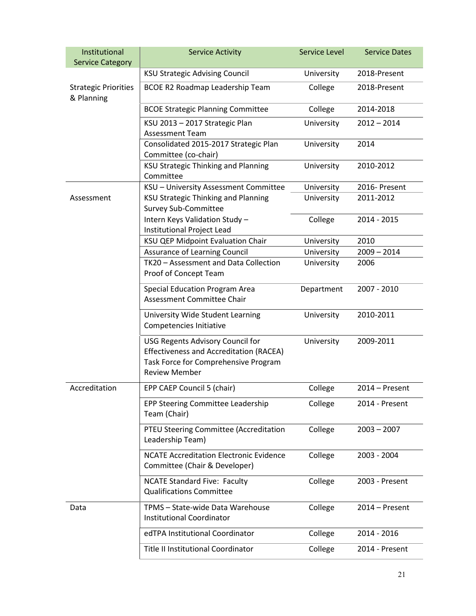| Institutional<br><b>Service Category</b>  | <b>Service Activity</b>                                                                                                                            | <b>Service Level</b> | <b>Service Dates</b> |
|-------------------------------------------|----------------------------------------------------------------------------------------------------------------------------------------------------|----------------------|----------------------|
|                                           | <b>KSU Strategic Advising Council</b>                                                                                                              | University           | 2018-Present         |
| <b>Strategic Priorities</b><br>& Planning | <b>BCOE R2 Roadmap Leadership Team</b>                                                                                                             | College              | 2018-Present         |
|                                           | <b>BCOE Strategic Planning Committee</b>                                                                                                           | College              | 2014-2018            |
|                                           | KSU 2013 - 2017 Strategic Plan<br><b>Assessment Team</b>                                                                                           | University           | $2012 - 2014$        |
|                                           | Consolidated 2015-2017 Strategic Plan<br>Committee (co-chair)                                                                                      | University           | 2014                 |
|                                           | <b>KSU Strategic Thinking and Planning</b><br>Committee                                                                                            | University           | 2010-2012            |
|                                           | KSU - University Assessment Committee                                                                                                              | University           | 2016- Present        |
| Assessment                                | <b>KSU Strategic Thinking and Planning</b><br><b>Survey Sub-Committee</b>                                                                          | University           | 2011-2012            |
|                                           | Intern Keys Validation Study -<br>Institutional Project Lead                                                                                       | College              | 2014 - 2015          |
|                                           | KSU QEP Midpoint Evaluation Chair                                                                                                                  | University           | 2010                 |
|                                           | Assurance of Learning Council                                                                                                                      | University           | $2009 - 2014$        |
|                                           | TK20 - Assessment and Data Collection<br>Proof of Concept Team                                                                                     | University           | 2006                 |
|                                           | <b>Special Education Program Area</b><br>Assessment Committee Chair                                                                                | Department           | 2007 - 2010          |
|                                           | University Wide Student Learning<br>Competencies Initiative                                                                                        | University           | 2010-2011            |
|                                           | USG Regents Advisory Council for<br><b>Effectiveness and Accreditation (RACEA)</b><br>Task Force for Comprehensive Program<br><b>Review Member</b> | University           | 2009-2011            |
| Accreditation                             | EPP CAEP Council 5 (chair)                                                                                                                         | College              | $2014 -$ Present     |
|                                           | EPP Steering Committee Leadership<br>Team (Chair)                                                                                                  | College              | 2014 - Present       |
|                                           | PTEU Steering Committee (Accreditation<br>Leadership Team)                                                                                         | College              | $2003 - 2007$        |
|                                           | <b>NCATE Accreditation Electronic Evidence</b><br>Committee (Chair & Developer)                                                                    | College              | 2003 - 2004          |
|                                           | <b>NCATE Standard Five: Faculty</b><br><b>Qualifications Committee</b>                                                                             | College              | 2003 - Present       |
| Data                                      | TPMS - State-wide Data Warehouse<br><b>Institutional Coordinator</b>                                                                               | College              | 2014 – Present       |
|                                           | edTPA Institutional Coordinator                                                                                                                    | College              | 2014 - 2016          |
|                                           | <b>Title II Institutional Coordinator</b>                                                                                                          | College              | 2014 - Present       |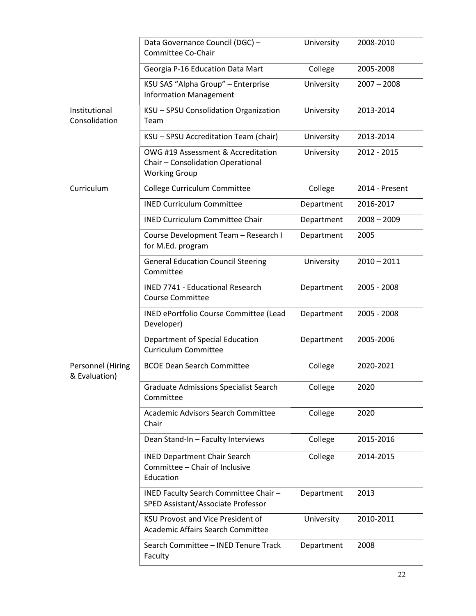|                                    | Data Governance Council (DGC) -<br>Committee Co-Chair                                           | University | 2008-2010      |
|------------------------------------|-------------------------------------------------------------------------------------------------|------------|----------------|
|                                    | Georgia P-16 Education Data Mart                                                                | College    | 2005-2008      |
|                                    | KSU SAS "Alpha Group" - Enterprise<br><b>Information Management</b>                             | University | $2007 - 2008$  |
| Institutional<br>Consolidation     | KSU - SPSU Consolidation Organization<br>Team                                                   | University | 2013-2014      |
|                                    | KSU - SPSU Accreditation Team (chair)                                                           | University | 2013-2014      |
|                                    | OWG #19 Assessment & Accreditation<br>Chair - Consolidation Operational<br><b>Working Group</b> | University | 2012 - 2015    |
| Curriculum                         | College Curriculum Committee                                                                    | College    | 2014 - Present |
|                                    | <b>INED Curriculum Committee</b>                                                                | Department | 2016-2017      |
|                                    | <b>INED Curriculum Committee Chair</b>                                                          | Department | $2008 - 2009$  |
|                                    | Course Development Team - Research I<br>for M.Ed. program                                       | Department | 2005           |
|                                    | <b>General Education Council Steering</b><br>Committee                                          | University | $2010 - 2011$  |
|                                    | <b>INED 7741 - Educational Research</b><br><b>Course Committee</b>                              | Department | 2005 - 2008    |
|                                    | INED ePortfolio Course Committee (Lead<br>Developer)                                            | Department | 2005 - 2008    |
|                                    | Department of Special Education<br><b>Curriculum Committee</b>                                  | Department | 2005-2006      |
| Personnel (Hiring<br>& Evaluation) | <b>BCOE Dean Search Committee</b>                                                               | College    | 2020-2021      |
|                                    | <b>Graduate Admissions Specialist Search</b><br>Committee                                       | College    | 2020           |
|                                    | Academic Advisors Search Committee<br>Chair                                                     | College    | 2020           |
|                                    | Dean Stand-In - Faculty Interviews                                                              | College    | 2015-2016      |
|                                    | <b>INED Department Chair Search</b><br>Committee - Chair of Inclusive<br>Education              | College    | 2014-2015      |
|                                    | INED Faculty Search Committee Chair -<br>SPED Assistant/Associate Professor                     | Department | 2013           |
|                                    | <b>KSU Provost and Vice President of</b><br>Academic Affairs Search Committee                   | University | 2010-2011      |
|                                    | Search Committee - INED Tenure Track<br>Faculty                                                 | Department | 2008           |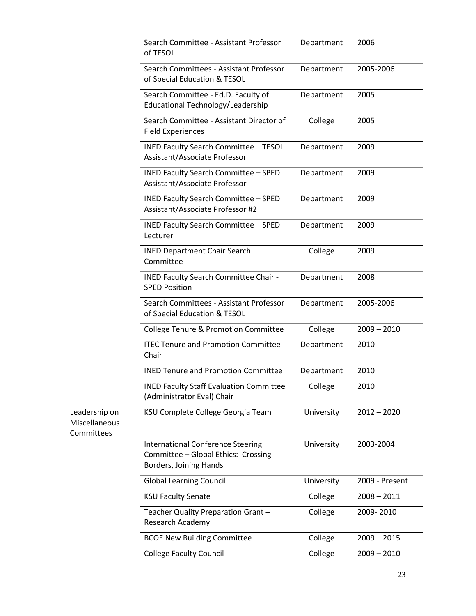|                                              | Search Committee - Assistant Professor<br>of TESOL                                                        | Department | 2006           |
|----------------------------------------------|-----------------------------------------------------------------------------------------------------------|------------|----------------|
|                                              | Search Committees - Assistant Professor<br>of Special Education & TESOL                                   | Department | 2005-2006      |
|                                              | Search Committee - Ed.D. Faculty of<br>Educational Technology/Leadership                                  | Department | 2005           |
|                                              | Search Committee - Assistant Director of<br><b>Field Experiences</b>                                      | College    | 2005           |
|                                              | <b>INED Faculty Search Committee - TESOL</b><br>Assistant/Associate Professor                             | Department | 2009           |
|                                              | <b>INED Faculty Search Committee - SPED</b><br>Assistant/Associate Professor                              | Department | 2009           |
|                                              | <b>INED Faculty Search Committee - SPED</b><br>Assistant/Associate Professor #2                           | Department | 2009           |
|                                              | INED Faculty Search Committee - SPED<br>Lecturer                                                          | Department | 2009           |
|                                              | <b>INED Department Chair Search</b><br>Committee                                                          | College    | 2009           |
|                                              | INED Faculty Search Committee Chair -<br><b>SPED Position</b>                                             | Department | 2008           |
|                                              | Search Committees - Assistant Professor<br>of Special Education & TESOL                                   | Department | 2005-2006      |
|                                              | <b>College Tenure &amp; Promotion Committee</b>                                                           | College    | $2009 - 2010$  |
|                                              | <b>ITEC Tenure and Promotion Committee</b><br>Chair                                                       | Department | 2010           |
|                                              | <b>INED Tenure and Promotion Committee</b>                                                                | Department | 2010           |
|                                              | <b>INED Faculty Staff Evaluation Committee</b><br>(Administrator Eval) Chair                              | College    | 2010           |
| Leadership on<br>Miscellaneous<br>Committees | KSU Complete College Georgia Team                                                                         | University | $2012 - 2020$  |
|                                              | <b>International Conference Steering</b><br>Committee - Global Ethics: Crossing<br>Borders, Joining Hands | University | 2003-2004      |
|                                              | <b>Global Learning Council</b>                                                                            | University | 2009 - Present |
|                                              | <b>KSU Faculty Senate</b>                                                                                 | College    | $2008 - 2011$  |
|                                              | Teacher Quality Preparation Grant -<br>Research Academy                                                   | College    | 2009-2010      |
|                                              | <b>BCOE New Building Committee</b>                                                                        | College    | $2009 - 2015$  |
|                                              | <b>College Faculty Council</b>                                                                            | College    | $2009 - 2010$  |